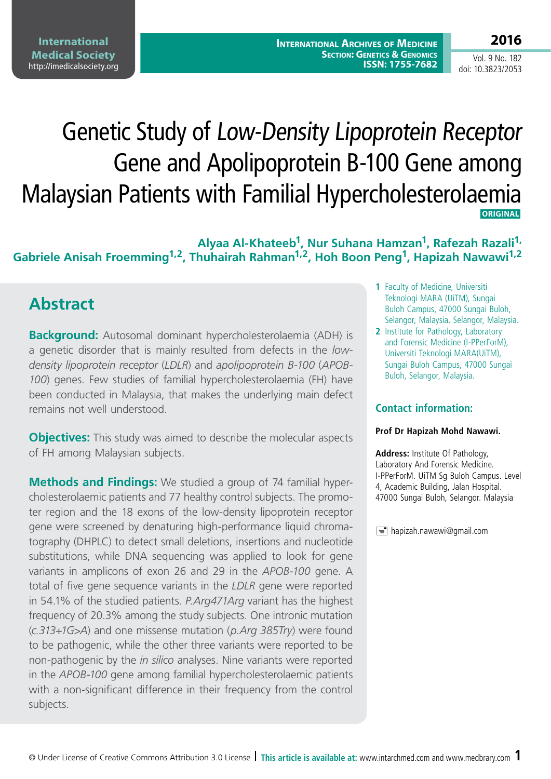# Genetic Study of Low-Density Lipoprotein Receptor Gene and Apolipoprotein B-100 Gene among Malaysian Patients with Familial Hypercholesterolaemia  **ORIGINAL**

### **Alyaa Al-Khateeb1, Nur Suhana Hamzan1, Rafezah Razali1, Gabriele Anisah Froemming1,2, Thuhairah Rahman1,2, Hoh Boon Peng1, Hapizah Nawawi1,2**

# **Abstract**

**Background:** Autosomal dominant hypercholesterolaemia (ADH) is a genetic disorder that is mainly resulted from defects in the *lowdensity lipoprotein receptor* (*LDLR*) and *apolipoprotein B-100* (*APOB-100*) genes. Few studies of familial hypercholesterolaemia (FH) have been conducted in Malaysia, that makes the underlying main defect remains not well understood.

**Objectives:** This study was aimed to describe the molecular aspects of FH among Malaysian subjects.

**Methods and Findings:** We studied a group of 74 familial hypercholesterolaemic patients and 77 healthy control subjects. The promoter region and the 18 exons of the low-density lipoprotein receptor gene were screened by denaturing high-performance liquid chromatography (DHPLC) to detect small deletions, insertions and nucleotide substitutions, while DNA sequencing was applied to look for gene variants in amplicons of exon 26 and 29 in the *APOB-100* gene. A total of five gene sequence variants in the *LDLR* gene were reported in 54.1% of the studied patients. *P.Arg471Arg* variant has the highest frequency of 20.3% among the study subjects. One intronic mutation (*c.313+1G>A*) and one missense mutation (*p.Arg 385Try*) were found to be pathogenic, while the other three variants were reported to be non-pathogenic by the *in silico* analyses. Nine variants were reported in the *APOB-100* gene among familial hypercholesterolaemic patients with a non-significant difference in their frequency from the control subjects.

- **1** Faculty of Medicine, Universiti Teknologi MARA (UiTM), Sungai Buloh Campus, 47000 Sungai Buloh, Selangor, Malaysia. Selangor, Malaysia.
- **2** Institute for Pathology, Laboratory and Forensic Medicine (I-PPerForM), Universiti Teknologi MARA(UiTM), Sungai Buloh Campus, 47000 Sungai Buloh, Selangor, Malaysia.

#### **Contact information:**

#### **Prof Dr Hapizah Mohd Nawawi.**

**Address:** Institute Of Pathology, Laboratory And Forensic Medicine. I-PPerForM. UiTM Sg Buloh Campus. Level 4, Academic Building, Jalan Hospital. 47000 Sungai Buloh, Selangor. Malaysia

 $\equiv$  hapizah.nawawi@gmail.com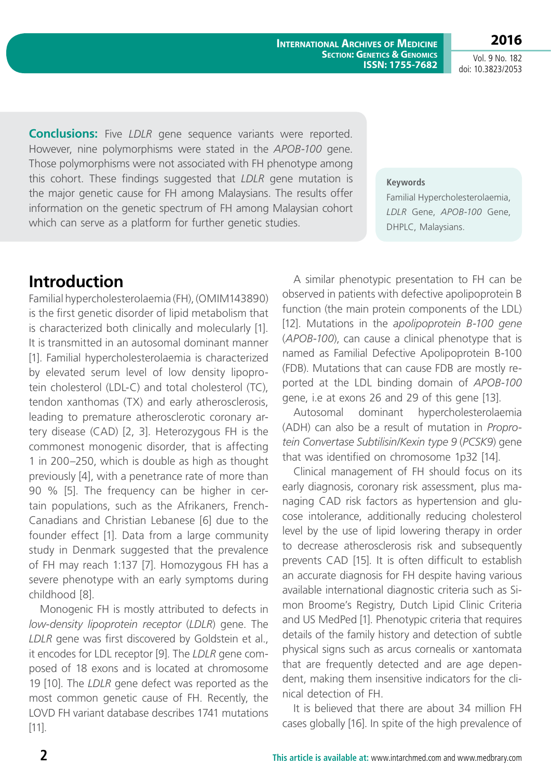**International Archives of Medicine SECTION: GENETICS & GENOMICS ISSN: 1755-7682**

**2016** Vol. 9 No. 182

doi: 10.3823/2053

**Conclusions:** Five *LDLR* gene sequence variants were reported. However, nine polymorphisms were stated in the *APOB-100* gene. Those polymorphisms were not associated with FH phenotype among this cohort. These findings suggested that *LDLR* gene mutation is the major genetic cause for FH among Malaysians. The results offer information on the genetic spectrum of FH among Malaysian cohort which can serve as a platform for further genetic studies.

#### **Keywords**

Familial Hypercholesterolaemia, *LDLR* Gene, *APOB-100* Gene, DHPLC, Malaysians.

# **Introduction**

Familial hypercholesterolaemia (FH), (OMIM143890) is the first genetic disorder of lipid metabolism that is characterized both clinically and molecularly [1]. It is transmitted in an autosomal dominant manner [1]. Familial hypercholesterolaemia is characterized by elevated serum level of low density lipoprotein cholesterol (LDL-C) and total cholesterol (TC), tendon xanthomas (TX) and early atherosclerosis, leading to premature atherosclerotic coronary artery disease (CAD) [2, 3]. Heterozygous FH is the commonest monogenic disorder, that is affecting 1 in 200–250, which is double as high as thought previously [4], with a penetrance rate of more than 90 % [5]. The frequency can be higher in certain populations, such as the Afrikaners, French-Canadians and Christian Lebanese [6] due to the founder effect [1]. Data from a large community study in Denmark suggested that the prevalence of FH may reach 1:137 [7]. Homozygous FH has a severe phenotype with an early symptoms during childhood [8].

Monogenic FH is mostly attributed to defects in *low-density lipoprotein receptor* (*LDLR*) gene. The *LDLR* gene was first discovered by Goldstein et al., it encodes for LDL receptor [9]. The *LDLR* gene composed of 18 exons and is located at chromosome 19 [10]. The *LDLR* gene defect was reported as the most common genetic cause of FH. Recently, the LOVD FH variant database describes 1741 mutations [11].

A similar phenotypic presentation to FH can be observed in patients with defective apolipoprotein B function (the main protein components of the LDL) [12]. Mutations in the *apolipoprotein B-100 gene* (*APOB-100*), can cause a clinical phenotype that is named as Familial Defective Apolipoprotein B-100 (FDB). Mutations that can cause FDB are mostly reported at the LDL binding domain of *APOB-100* gene, i.e at exons 26 and 29 of this gene [13].

Autosomal dominant hypercholesterolaemia (ADH) can also be a result of mutation in *Proprotein Convertase Subtilisin/Kexin type 9* (*PCSK9*) gene that was identified on chromosome 1p32 [14].

Clinical management of FH should focus on its early diagnosis, coronary risk assessment, plus managing CAD risk factors as hypertension and glucose intolerance, additionally reducing cholesterol level by the use of lipid lowering therapy in order to decrease atherosclerosis risk and subsequently prevents CAD [15]. It is often difficult to establish an accurate diagnosis for FH despite having various available international diagnostic criteria such as Simon Broome's Registry, Dutch Lipid Clinic Criteria and US MedPed [1]. Phenotypic criteria that requires details of the family history and detection of subtle physical signs such as arcus cornealis or xantomata that are frequently detected and are age dependent, making them insensitive indicators for the clinical detection of FH.

It is believed that there are about 34 million FH cases globally [16]. In spite of the high prevalence of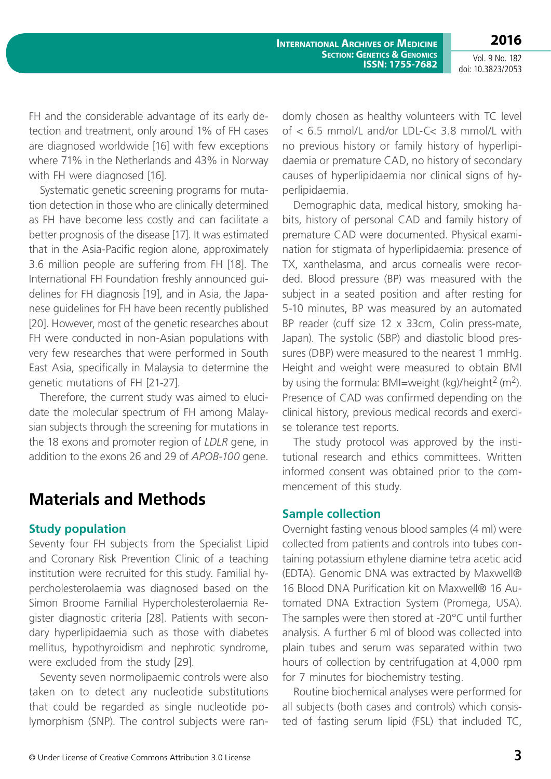**2016**

Vol. 9 No. 182 doi: 10.3823/2053

FH and the considerable advantage of its early detection and treatment, only around 1% of FH cases are diagnosed worldwide [16] with few exceptions where 71% in the Netherlands and 43% in Norway with FH were diagnosed [16].

Systematic genetic screening programs for mutation detection in those who are clinically determined as FH have become less costly and can facilitate a better prognosis of the disease [17]. It was estimated that in the Asia-Pacific region alone, approximately 3.6 million people are suffering from FH [18]. The International FH Foundation freshly announced guidelines for FH diagnosis [19], and in Asia, the Japanese guidelines for FH have been recently published [20]. However, most of the genetic researches about FH were conducted in non-Asian populations with very few researches that were performed in South East Asia, specifically in Malaysia to determine the genetic mutations of FH [21-27].

Therefore, the current study was aimed to elucidate the molecular spectrum of FH among Malaysian subjects through the screening for mutations in the 18 exons and promoter region of *LDLR* gene, in addition to the exons 26 and 29 of *APOB-100* gene.

## **Materials and Methods**

#### **Study population**

Seventy four FH subjects from the Specialist Lipid and Coronary Risk Prevention Clinic of a teaching institution were recruited for this study. Familial hypercholesterolaemia was diagnosed based on the Simon Broome Familial Hypercholesterolaemia Register diagnostic criteria [28]. Patients with secondary hyperlipidaemia such as those with diabetes mellitus, hypothyroidism and nephrotic syndrome, were excluded from the study [29].

Seventy seven normolipaemic controls were also taken on to detect any nucleotide substitutions that could be regarded as single nucleotide polymorphism (SNP). The control subjects were randomly chosen as healthy volunteers with TC level of < 6.5 mmol/L and/or LDL-C< 3.8 mmol/L with no previous history or family history of hyperlipidaemia or premature CAD, no history of secondary causes of hyperlipidaemia nor clinical signs of hyperlipidaemia.

Demographic data, medical history, smoking habits, history of personal CAD and family history of premature CAD were documented. Physical examination for stigmata of hyperlipidaemia: presence of TX, xanthelasma, and arcus cornealis were recorded. Blood pressure (BP) was measured with the subject in a seated position and after resting for 5-10 minutes, BP was measured by an automated BP reader (cuff size 12 x 33cm, Colin press-mate, Japan). The systolic (SBP) and diastolic blood pressures (DBP) were measured to the nearest 1 mmHg. Height and weight were measured to obtain BMI by using the formula:  $BMI=weight (kg)/height<sup>2</sup> (m<sup>2</sup>).$ Presence of CAD was confirmed depending on the clinical history, previous medical records and exercise tolerance test reports.

The study protocol was approved by the institutional research and ethics committees. Written informed consent was obtained prior to the commencement of this study.

#### **Sample collection**

Overnight fasting venous blood samples (4 ml) were collected from patients and controls into tubes containing potassium ethylene diamine tetra acetic acid (EDTA). Genomic DNA was extracted by Maxwell® 16 Blood DNA Purification kit on Maxwell® 16 Automated DNA Extraction System (Promega, USA). The samples were then stored at -20°C until further analysis. A further 6 ml of blood was collected into plain tubes and serum was separated within two hours of collection by centrifugation at 4,000 rpm for 7 minutes for biochemistry testing.

Routine biochemical analyses were performed for all subjects (both cases and controls) which consisted of fasting serum lipid (FSL) that included TC,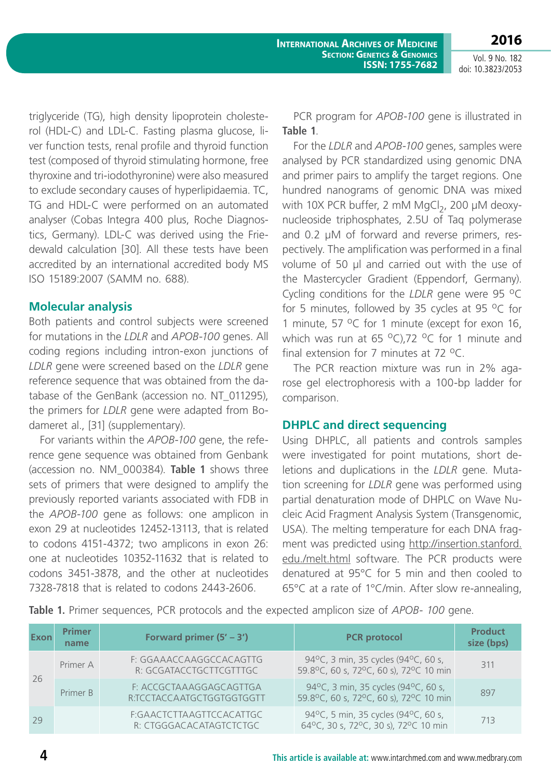**2016** Vol. 9 No. 182

**International Archives of Medicine SECTION: GENETICS & GENOMICS ISSN: 1755-7682**

doi: 10.3823/2053

triglyceride (TG), high density lipoprotein cholesterol (HDL-C) and LDL-C. Fasting plasma glucose, liver function tests, renal profile and thyroid function test (composed of thyroid stimulating hormone, free thyroxine and tri-iodothyronine) were also measured to exclude secondary causes of hyperlipidaemia. TC, TG and HDL-C were performed on an automated analyser (Cobas Integra 400 plus, Roche Diagnostics, Germany). LDL-C was derived using the Friedewald calculation [30]. All these tests have been accredited by an international accredited body MS ISO 15189:2007 (SAMM no. 688).

#### **Molecular analysis**

Both patients and control subjects were screened for mutations in the *LDLR* and *APOB-100* genes. All coding regions including intron-exon junctions of *LDLR* gene were screened based on the *LDLR* gene reference sequence that was obtained from the database of the GenBank (accession no. NT\_011295), the primers for *LDLR* gene were adapted from Bodameret al., [31] (supplementary).

For variants within the *APOB-100* gene, the reference gene sequence was obtained from Genbank (accession no. NM\_000384). **Table 1** shows three sets of primers that were designed to amplify the previously reported variants associated with FDB in the *APOB-100* gene as follows: one amplicon in exon 29 at nucleotides 12452-13113, that is related to codons 4151-4372; two amplicons in exon 26: one at nucleotides 10352-11632 that is related to codons 3451-3878, and the other at nucleotides 7328-7818 that is related to codons 2443-2606.

PCR program for *APOB-100* gene is illustrated in **Table 1**.

For the *LDLR* and *APOB-100* genes, samples were analysed by PCR standardized using genomic DNA and primer pairs to amplify the target regions. One hundred nanograms of genomic DNA was mixed with 10X PCR buffer, 2 mM MgCl $_2$ , 200 µM deoxynucleoside triphosphates, 2.5U of Taq polymerase and 0.2 µM of forward and reverse primers, respectively. The amplification was performed in a final volume of 50 µl and carried out with the use of the Mastercycler Gradient (Eppendorf, Germany). Cycling conditions for the *LDLR* gene were 95 <sup>o</sup>C for 5 minutes, followed by 35 cycles at 95  $^{\circ}$ C for 1 minute, 57  $^{\circ}$ C for 1 minute (except for exon 16, which was run at 65  $^{\circ}$ C),72  $^{\circ}$ C for 1 minute and final extension for 7 minutes at  $72 \text{ °C}$ .

The PCR reaction mixture was run in 2% agarose gel electrophoresis with a 100-bp ladder for comparison.

#### **DHPLC and direct sequencing**

Using DHPLC, all patients and controls samples were investigated for point mutations, short deletions and duplications in the *LDLR* gene. Mutation screening for *LDLR* gene was performed using partial denaturation mode of DHPLC on Wave Nucleic Acid Fragment Analysis System (Transgenomic, USA). The melting temperature for each DNA fragment was predicted using [http://insertion.stanford.](http://insertion.stanford.edu./melt.html) [edu./melt.html](http://insertion.stanford.edu./melt.html) software. The PCR products were denatured at 95°C for 5 min and then cooled to 65°C at a rate of 1°C/min. After slow re-annealing,

**Table 1.** Primer sequences, PCR protocols and the expected amplicon size of *APOB- 100* gene.

| Exon | <b>Primer</b><br>name | Forward primer $(5' – 3')$                           | <b>PCR</b> protocol                                                           | <b>Product</b><br>size (bps) |
|------|-----------------------|------------------------------------------------------|-------------------------------------------------------------------------------|------------------------------|
| 26   | Primer A              | F: GGAAACCAAGGCCACAGTTG<br>R: GCGATACCTGCTTCGTTTGC   | 94°C, 3 min, 35 cycles (94°C, 60 s,<br>59.8°C, 60 s, 72°C, 60 s), 72°C 10 min | 311                          |
|      | Primer B              | F: ACCGCTAAAGGAGCAGTTGA<br>R:TCCTACCAATGCTGGTGGTGGTT | 94°C, 3 min, 35 cycles (94°C, 60 s,<br>59.8°C, 60 s, 72°C, 60 s), 72°C 10 min | 897                          |
| 29   |                       | F:GAACTCTTAAGTTCCACATTGC<br>R: CTGGGACACATAGTCTCTGC  | 94°C, 5 min, 35 cycles (94°C, 60 s,<br>64°C, 30 s, 72°C, 30 s), 72°C 10 min   | 713                          |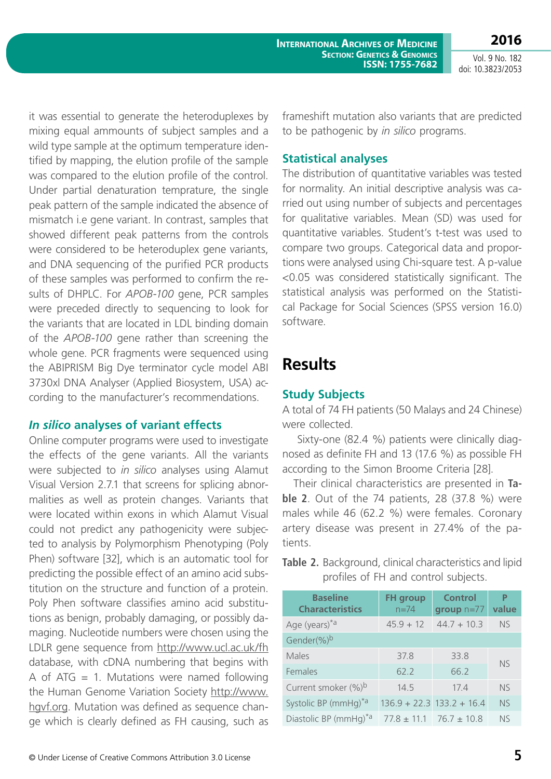**International Archives of Medicine SECTION: GENETICS & GENOMICS ISSN: 1755-7682**

Vol. 9 No. 182 doi: 10.3823/2053

**2016**

it was essential to generate the heteroduplexes by mixing equal ammounts of subject samples and a wild type sample at the optimum temperature identified by mapping, the elution profile of the sample was compared to the elution profile of the control. Under partial denaturation temprature, the single peak pattern of the sample indicated the absence of mismatch i.e gene variant. In contrast, samples that showed different peak patterns from the controls were considered to be heteroduplex gene variants, and DNA sequencing of the purified PCR products of these samples was performed to confirm the results of DHPLC. For *APOB-100* gene, PCR samples were preceded directly to sequencing to look for the variants that are located in LDL binding domain of the *APOB-100* gene rather than screening the whole gene. PCR fragments were sequenced using the ABIPRISM Big Dye terminator cycle model ABI 3730xl DNA Analyser (Applied Biosystem, USA) according to the manufacturer's recommendations.

#### *In silico* **analyses of variant effects**

Online computer programs were used to investigate the effects of the gene variants. All the variants were subjected to *in silico* analyses using Alamut Visual Version 2.7.1 that screens for splicing abnormalities as well as protein changes. Variants that were located within exons in which Alamut Visual could not predict any pathogenicity were subjected to analysis by Polymorphism Phenotyping (Poly Phen) software [32], which is an automatic tool for predicting the possible effect of an amino acid substitution on the structure and function of a protein. Poly Phen software classifies amino acid substitutions as benign, probably damaging, or possibly damaging. Nucleotide numbers were chosen using the LDLR gene sequence from <http://www.ucl.ac.uk/fh> database, with cDNA numbering that begins with A of ATG  $= 1$ . Mutations were named following the Human Genome Variation Society [http://www.](http://www.hgvf.org) [hgvf.org](http://www.hgvf.org). Mutation was defined as sequence change which is clearly defined as FH causing, such as

frameshift mutation also variants that are predicted to be pathogenic by *in silico* programs.

#### **Statistical analyses**

The distribution of quantitative variables was tested for normality. An initial descriptive analysis was carried out using number of subjects and percentages for qualitative variables. Mean (SD) was used for quantitative variables. Student's t-test was used to compare two groups. Categorical data and proportions were analysed using Chi-square test. A p-value <0.05 was considered statistically significant. The statistical analysis was performed on the Statistical Package for Social Sciences (SPSS version 16.0) software.

## **Results**

#### **Study Subjects**

A total of 74 FH patients (50 Malays and 24 Chinese) were collected.

 Sixty-one (82.4 %) patients were clinically diagnosed as definite FH and 13 (17.6 %) as possible FH according to the Simon Broome Criteria [28].

Their clinical characteristics are presented in **Table 2**. Out of the 74 patients, 28 (37.8 %) were males while 46 (62.2 %) were females. Coronary artery disease was present in 27.4% of the patients.

**Table 2.** Background, clinical characteristics and lipid profiles of FH and control subjects.

| <b>Baseline</b><br><b>Characteristics</b> | <b>FH</b> group<br>$n = 74$ | <b>Control</b><br>group $n=77$  | P<br>value |
|-------------------------------------------|-----------------------------|---------------------------------|------------|
| Age (years) <sup>*a</sup>                 | $45.9 + 12$                 | $44.7 + 10.3$                   | <b>NS</b>  |
| Gender(%)b                                |                             |                                 |            |
| Males                                     | 37.8                        | 33.8                            | <b>NS</b>  |
| Females                                   | 62.2                        | 66.2                            |            |
| Current smoker (%)b                       | 14.5                        | 174                             | <b>NS</b>  |
| Systolic BP (mmHg) <sup>*a</sup>          |                             | $136.9 + 22.3$ $133.2 + 16.4$   | <b>NS</b>  |
| Diastolic BP (mmHg) <sup>*a</sup>         |                             | $77.8 \pm 11.1$ 76.7 $\pm$ 10.8 | <b>NS</b>  |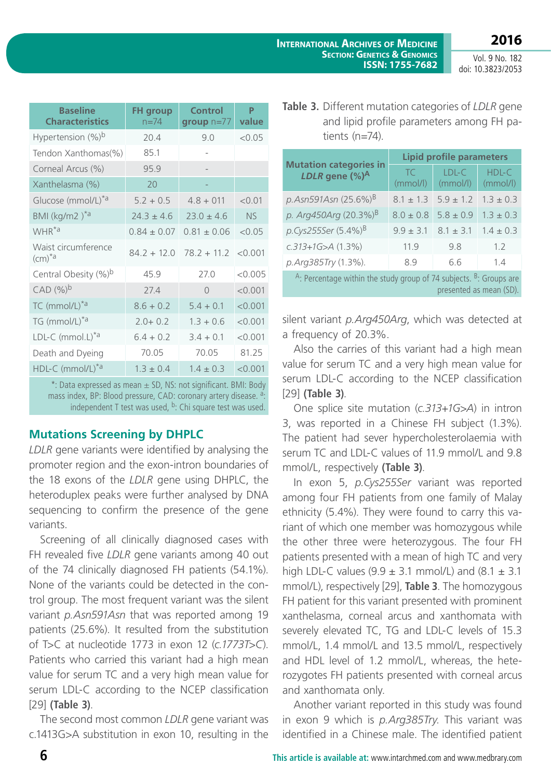| <b>Baseline</b><br><b>Characteristics</b>      | <b>FH</b> group<br>$n = 74$ | <b>Control</b><br>$group n=77$ | P<br>value |
|------------------------------------------------|-----------------------------|--------------------------------|------------|
| Hypertension (%) <sup>b</sup>                  | 20.4                        | 9.0                            | < 0.05     |
| Tendon Xanthomas(%)                            | 85.1                        |                                |            |
| Corneal Arcus (%)                              | 95.9                        |                                |            |
| Xanthelasma (%)                                | 20                          |                                |            |
| Glucose (mmol/L)*a                             | $5.2 + 0.5$                 | $4.8 + 011$                    | < 0.01     |
| BMI (kg/m2) <sup>*a</sup>                      | $24.3 \pm 4.6$              | $23.0 \pm 4.6$                 | <b>NS</b>  |
| WHR <sup>*a</sup>                              | $0.84 + 0.07$               | $0.81 + 0.06$                  | < 0.05     |
| Waist circumference<br>$\text{(cm)}^{\star}$ a | $84.2 + 12.0$               | $78.2 + 11.2$                  | < 0.001    |
| Central Obesity (%)b                           | 45.9                        | 77.0                           | < 0.005    |
| CAD (%) <sup>b</sup>                           | 27.4                        | $\Omega$                       | < 0.001    |
| TC (mmol/L) <sup>*a</sup>                      | $8.6 + 0.2$                 | $5.4 + 0.1$                    | < 0.001    |
| TG (mmol/L) <sup>*a</sup>                      | $2.0 + 0.2$                 | $1.3 + 0.6$                    | < 0.001    |
| LDL-C (mmol.L) <sup>*a</sup>                   | $6.4 + 0.2$                 | $3.4 + 0.1$                    | < 0.001    |
| Death and Dyeing                               | 70.05                       | 70.05                          | 81.25      |
| HDL-C (mmol/L) <sup>*a</sup>                   | $1.3 + 0.4$                 | $1.4 + 0.3$                    | < 0.001    |

\*: Data expressed as mean ± SD, NS: not significant. BMI: Body mass index, BP: Blood pressure, CAD: coronary artery disease. <sup>a</sup>: independent T test was used,  $b$ : Chi square test was used.

### **Mutations Screening by DHPLC**

*LDLR* gene variants were identified by analysing the promoter region and the exon-intron boundaries of the 18 exons of the *LDLR* gene using DHPLC, the heteroduplex peaks were further analysed by DNA sequencing to confirm the presence of the gene variants.

Screening of all clinically diagnosed cases with FH revealed five *LDLR* gene variants among 40 out of the 74 clinically diagnosed FH patients (54.1%). None of the variants could be detected in the control group. The most frequent variant was the silent variant *p.Asn591Asn* that was reported among 19 patients (25.6%). It resulted from the substitution of T>C at nucleotide 1773 in exon 12 (*c.1773T>C*). Patients who carried this variant had a high mean value for serum TC and a very high mean value for serum LDL-C according to the NCEP classification [29] **(Table 3)**.

The second most common *LDLR* gene variant was c.1413G>A substitution in exon 10, resulting in the

| <b>Table 3.</b> Different mutation categories of <i>LDLR</i> gene |  |  |
|-------------------------------------------------------------------|--|--|
| and lipid profile parameters among FH pa-                         |  |  |
| tients $(n=74)$ .                                                 |  |  |

|                                                                                                              | <b>Lipid profile parameters</b> |                     |                   |  |  |
|--------------------------------------------------------------------------------------------------------------|---------------------------------|---------------------|-------------------|--|--|
| <b>Mutation categories in</b><br>LDLR gene $(\%)^A$                                                          | TC<br>(mmol/l)                  | $LDL-C$<br>(mmol/l) | HDL-C<br>(mmol/l) |  |  |
| p. Asn591Asn (25.6%) <sup>B</sup>                                                                            | $8.1 \pm 1.3$                   | $5.9 + 1.2$         | $1.3 \pm 0.3$     |  |  |
| p. Arg450Arg $(20.3\%)^B$                                                                                    | $8.0 \pm 0.8$                   | $5.8 \pm 0.9$       | $1.3 \pm 0.3$     |  |  |
| p.Cys255Ser (5.4%) <sup>B</sup>                                                                              | $9.9 \pm 3.1$                   | $8.1 \pm 3.1$       | $1.4 \pm 0.3$     |  |  |
| $c.313+1G > A(1.3%)$                                                                                         | 11.9                            | 9.8                 | 1.2               |  |  |
| p.Arg385Try (1.3%).                                                                                          | 89                              | 6.6                 | 1.4               |  |  |
| <sup>A</sup> : Percentage within the study group of 74 subjects. $B$ : Groups are<br>presented as mean (SD). |                                 |                     |                   |  |  |

silent variant *p.Arg450Arg*, which was detected at a frequency of 20.3%.

Also the carries of this variant had a high mean value for serum TC and a very high mean value for serum LDL-C according to the NCEP classification [29] **(Table 3)**.

One splice site mutation (*c.313+1G>A*) in intron 3, was reported in a Chinese FH subject (1.3%). The patient had sever hypercholesterolaemia with serum TC and LDL-C values of 11.9 mmol/L and 9.8 mmol/L, respectively **(Table 3)**.

In exon 5, *p.Cys255Ser* variant was reported among four FH patients from one family of Malay ethnicity (5.4%). They were found to carry this variant of which one member was homozygous while the other three were heterozygous. The four FH patients presented with a mean of high TC and very high LDL-C values  $(9.9 \pm 3.1 \text{ mmol/L})$  and  $(8.1 \pm 3.1 \text{ m})$ mmol/L), respectively [29], **Table 3**. The homozygous FH patient for this variant presented with prominent xanthelasma, corneal arcus and xanthomata with severely elevated TC, TG and LDL-C levels of 15.3 mmol/L, 1.4 mmol/L and 13.5 mmol/L, respectively and HDL level of 1.2 mmol/L, whereas, the heterozygotes FH patients presented with corneal arcus and xanthomata only.

Another variant reported in this study was found in exon 9 which is *p.Arg385Try*. This variant was identified in a Chinese male. The identified patient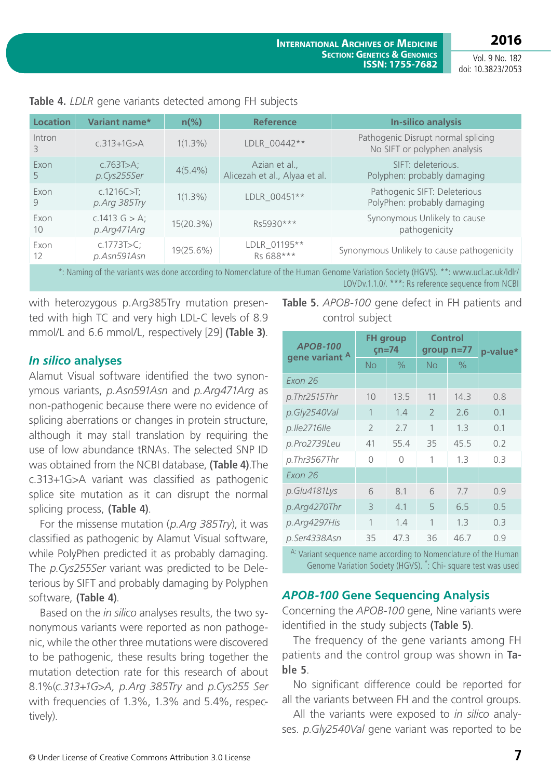**2016** Vol. 9 No. 182

doi: 10.3823/2053

| <b>Location</b>           | Variant name*                   | $n\frac{6}{6}$ | <b>Reference</b>                               | <b>In-silico analysis</b>                                          |
|---------------------------|---------------------------------|----------------|------------------------------------------------|--------------------------------------------------------------------|
|                           |                                 |                |                                                |                                                                    |
| Intron<br>3               | $c.313 + 1G > A$                | $1(1.3\%)$     | LDLR 00442**                                   | Pathogenic Disrupt normal splicing<br>No SIFT or polyphen analysis |
| Exon<br>5                 | c.763T $>$ A;<br>p.Cys255Ser    | $4(5.4\%)$     | Azian et al.,<br>Alicezah et al., Alyaa et al. | SIFT: deleterious.<br>Polyphen: probably damaging                  |
| Exon<br>9                 | c.1216C > T;<br>p. Arg 385Try   | $1(1.3\%)$     | LDLR 00451**                                   | Pathogenic SIFT: Deleterious<br>PolyPhen: probably damaging        |
| Exon<br>10                | c.1413 $G > A$ ;<br>p.Arg471Arg | 15(20.3%)      | Rs5930***                                      | Synonymous Unlikely to cause<br>pathogenicity                      |
| Exon<br>$12 \overline{ }$ | c.1773T > C;<br>p.Asn591Asn     | 19(25.6%)      | LDLR_01195**<br>Rs 688***                      | Synonymous Unlikely to cause pathogenicity                         |

**Table 4.** *LDLR* gene variants detected among FH subjects

\*: Naming of the variants was done according to Nomenclature of the Human Genome Variation Society (HGVS). \*\*: www.ucl.ac.uk/ldlr/ LOVDv.1.1.0/. \*\*\*: Rs reference sequence from NCBI

with heterozygous p.Arg385Try mutation presented with high TC and very high LDL-C levels of 8.9 mmol/L and 6.6 mmol/L, respectively [29] **(Table 3)**.

### *In silico* **analyses**

Alamut Visual software identified the two synonymous variants, *p.Asn591Asn* and *p.Arg471Arg* as non-pathogenic because there were no evidence of splicing aberrations or changes in protein structure, although it may stall translation by requiring the use of low abundance tRNAs. The selected SNP ID was obtained from the NCBI database, **(Table 4)**.The c.313+1G>A variant was classified as pathogenic splice site mutation as it can disrupt the normal splicing process, **(Table 4)**.

For the missense mutation (*p.Arg 385Try*), it was classified as pathogenic by Alamut Visual software, while PolyPhen predicted it as probably damaging. The *p.Cys255Ser* variant was predicted to be Deleterious by SIFT and probably damaging by Polyphen software, **(Table 4)**.

Based on the *in silico* analyses results, the two synonymous variants were reported as non pathogenic, while the other three mutations were discovered to be pathogenic, these results bring together the mutation detection rate for this research of about 8.1%(*c.313+1G>A, p.Arg 385Try* and *p.Cys255 Ser* with frequencies of 1.3%, 1.3% and 5.4%, respectively).

**Table 5.** *APOB-100* gene defect in FH patients and control subject

| <b>FH</b> group<br>$cn=74$ |               | Control<br>group $n=77$ |               | p-value* |  |
|----------------------------|---------------|-------------------------|---------------|----------|--|
| <b>No</b>                  | $\frac{0}{0}$ | <b>No</b>               | $\frac{0}{0}$ |          |  |
|                            |               |                         |               |          |  |
| 10                         | 13.5          | 11                      | 14.3          | 0.8      |  |
| 1                          | 1.4           | $\overline{2}$          | 2.6           | 0.1      |  |
| $\mathcal{P}$              | 7.7           | 1                       | 1.3           | 0.1      |  |
| 41                         | 55.4          | 35                      | 45.5          | 0.2      |  |
| $\bigcap$                  | $\bigcap$     | 1                       | 1.3           | 0.3      |  |
|                            |               |                         |               |          |  |
| 6                          | 8.1           | 6                       | 7.7           | 0.9      |  |
| 3                          | 4.1           | 5                       | 6.5           | 0.5      |  |
| 1                          | 1.4           | 1                       | 1.3           | 0.3      |  |
| 35                         | 47.3          | 36                      | 46.7          | 0.9      |  |
|                            |               |                         |               |          |  |

A: Variant sequence name according to Nomenclature of the Human Genome Variation Society (HGVS). \*: Chi- square test was used

### *APOB-100* **Gene Sequencing Analysis**

Concerning the *APOB-100* gene, Nine variants were identified in the study subjects **(Table 5)**.

The frequency of the gene variants among FH patients and the control group was shown in **Table 5**.

No significant difference could be reported for all the variants between FH and the control groups.

All the variants were exposed to *in silico* analyses. *p.Gly2540Val* gene variant was reported to be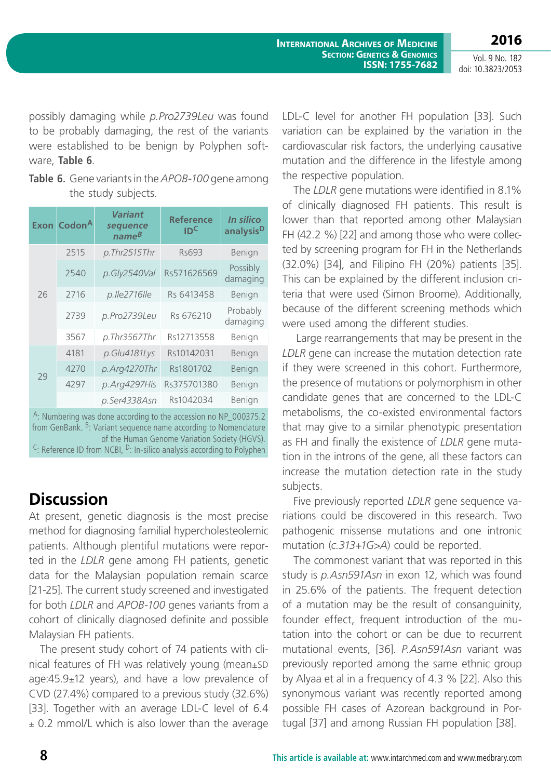possibly damaging while *p.Pro2739Leu* was found to be probably damaging, the rest of the variants were established to be benign by Polyphen software, **Table 6**.

**Table 6.** Gene variants in the *APOB-100* gene among the study subjects.

| <b>Exon</b>                                                                                                                                                                                                                                                                                           | Codon <sup>A</sup> | Variant<br>sequence<br>$name^B$ | <b>Reference</b><br>יסו | In silico<br>analysis <sup>D</sup> |  |  |
|-------------------------------------------------------------------------------------------------------------------------------------------------------------------------------------------------------------------------------------------------------------------------------------------------------|--------------------|---------------------------------|-------------------------|------------------------------------|--|--|
|                                                                                                                                                                                                                                                                                                       | 2515               | p.Thr2515Thr                    | Rs693                   | Benign                             |  |  |
|                                                                                                                                                                                                                                                                                                       | 2540               | p.Gly2540Val                    | Rs571626569             | Possibly<br>damaging               |  |  |
| 26                                                                                                                                                                                                                                                                                                    | 2716               | p.lle2716lle                    | Rs 6413458              | Benign                             |  |  |
|                                                                                                                                                                                                                                                                                                       | 2739               | p.Pro2739Leu                    | Rs 676210               | Probably<br>damaging               |  |  |
|                                                                                                                                                                                                                                                                                                       | 3567               | p.Thr3567Thr                    | Rs12713558              | Benign                             |  |  |
|                                                                                                                                                                                                                                                                                                       | 4181               | p.Glu4181Lys                    | Rs10142031              | Benign                             |  |  |
| 29                                                                                                                                                                                                                                                                                                    | 4270               | p.Arg4270Thr                    | Rs1801702               | Benign                             |  |  |
|                                                                                                                                                                                                                                                                                                       | 4297               | p.Arg4297His                    | Rs375701380             | Benign                             |  |  |
|                                                                                                                                                                                                                                                                                                       |                    | p.Ser4338Asn                    | Rs1042034               | Benign                             |  |  |
| $A$ : Numbering was done according to the accession no NP_000375.2<br>from GenBank. <sup>B</sup> : Variant sequence name according to Nomenclature<br>of the Human Genome Variation Society (HGVS).<br><sup>C</sup> : Reference ID from NCBI, <sup>D</sup> : In-silico analysis according to Polyphen |                    |                                 |                         |                                    |  |  |

# **Discussion**

At present, genetic diagnosis is the most precise method for diagnosing familial hypercholesteolemic patients. Although plentiful mutations were reported in the *LDLR* gene among FH patients, genetic data for the Malaysian population remain scarce [21-25]. The current study screened and investigated for both *LDLR* and *APOB-100* genes variants from a cohort of clinically diagnosed definite and possible Malaysian FH patients.

The present study cohort of 74 patients with clinical features of FH was relatively young (mean±SD  $age:45.9±12$  years), and have a low prevalence of CVD (27.4%) compared to a previous study (32.6%) [33]. Together with an average LDL-C level of 6.4  $\pm$  0.2 mmol/L which is also lower than the average LDL-C level for another FH population [33]. Such variation can be explained by the variation in the cardiovascular risk factors, the underlying causative mutation and the difference in the lifestyle among the respective population.

The *LDLR* gene mutations were identified in 8.1% of clinically diagnosed FH patients. This result is lower than that reported among other Malaysian FH (42.2 %) [22] and among those who were collected by screening program for FH in the Netherlands (32.0%) [34], and Filipino FH (20%) patients [35]. This can be explained by the different inclusion criteria that were used (Simon Broome). Additionally, because of the different screening methods which were used among the different studies.

 Large rearrangements that may be present in the *LDLR* gene can increase the mutation detection rate if they were screened in this cohort. Furthermore, the presence of mutations or polymorphism in other candidate genes that are concerned to the LDL-C metabolisms, the co-existed environmental factors that may give to a similar phenotypic presentation as FH and finally the existence of *LDLR* gene mutation in the introns of the gene, all these factors can increase the mutation detection rate in the study subjects.

Five previously reported *LDLR* gene sequence variations could be discovered in this research. Two pathogenic missense mutations and one intronic mutation (*c.313+1G>A*) could be reported.

The commonest variant that was reported in this study is *p.Asn591Asn* in exon 12, which was found in 25.6% of the patients. The frequent detection of a mutation may be the result of consanguinity, founder effect, frequent introduction of the mutation into the cohort or can be due to recurrent mutational events, [36]. *P.Asn591Asn* variant was previously reported among the same ethnic group by Alyaa et al in a frequency of 4.3 % [22]. Also this synonymous variant was recently reported among possible FH cases of Azorean background in Portugal [37] and among Russian FH population [38].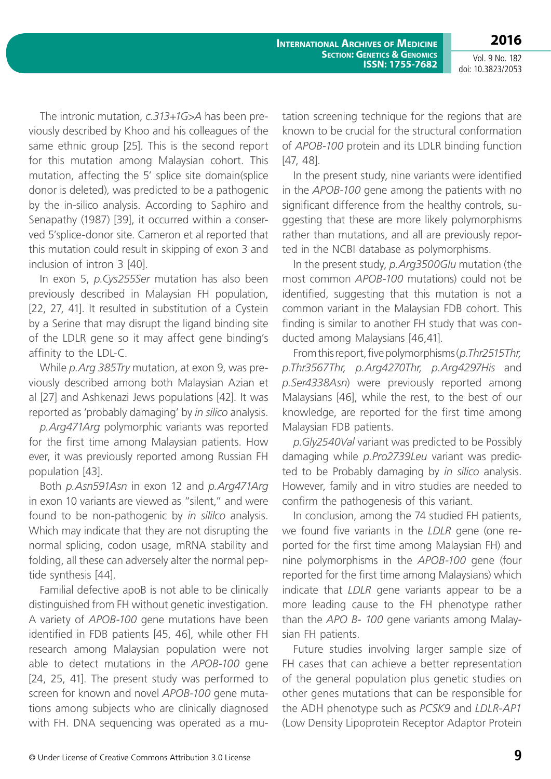**2016** Vol. 9 No. 182

doi: 10.3823/2053

The intronic mutation, *c.313+1G>A* has been previously described by Khoo and his colleagues of the same ethnic group [25]. This is the second report for this mutation among Malaysian cohort. This mutation, affecting the 5' splice site domain(splice donor is deleted), was predicted to be a pathogenic by the in-silico analysis. According to Saphiro and Senapathy (1987) [39], it occurred within a conserved 5'splice-donor site. Cameron et al reported that this mutation could result in skipping of exon 3 and inclusion of intron 3 [40].

In exon 5, *p.Cys255Ser* mutation has also been previously described in Malaysian FH population, [22, 27, 41]. It resulted in substitution of a Cystein by a Serine that may disrupt the ligand binding site of the LDLR gene so it may affect gene binding's affinity to the LDL-C.

While *p.Arg 385Try* mutation, at exon 9, was previously described among both Malaysian Azian et al [27] and Ashkenazi Jews populations [42]. It was reported as 'probably damaging' by *in silico* analysis.

*p.Arg471Arg* polymorphic variants was reported for the first time among Malaysian patients. How ever, it was previously reported among Russian FH population [43].

Both *p.Asn591Asn* in exon 12 and *p.Arg471Arg* in exon 10 variants are viewed as "silent," and were found to be non-pathogenic by *in sililco* analysis. Which may indicate that they are not disrupting the normal splicing, codon usage, mRNA stability and folding, all these can adversely alter the normal peptide synthesis [44].

Familial defective apoB is not able to be clinically distinguished from FH without genetic investigation. A variety of *APOB-100* gene mutations have been identified in FDB patients [45, 46], while other FH research among Malaysian population were not able to detect mutations in the *APOB-100* gene [24, 25, 41]. The present study was performed to screen for known and novel *APOB-100* gene mutations among subjects who are clinically diagnosed with FH. DNA sequencing was operated as a mu-

tation screening technique for the regions that are known to be crucial for the structural conformation of *APOB-100* protein and its LDLR binding function [47, 48].

In the present study, nine variants were identified in the *APOB-100* gene among the patients with no significant difference from the healthy controls, suggesting that these are more likely polymorphisms rather than mutations, and all are previously reported in the NCBI database as polymorphisms.

In the present study, *p.Arg3500Glu* mutation (the most common *APOB-100* mutations) could not be identified, suggesting that this mutation is not a common variant in the Malaysian FDB cohort. This finding is similar to another FH study that was conducted among Malaysians [46,41].

From this report, five polymorphisms (*p.Thr2515Thr, p.Thr3567Thr, p.Arg4270Thr, p.Arg4297His* and *p.Ser4338Asn*) were previously reported among Malaysians [46], while the rest, to the best of our knowledge, are reported for the first time among Malaysian FDB patients.

*p.Gly2540Val* variant was predicted to be Possibly damaging while *p.Pro2739Leu* variant was predicted to be Probably damaging by *in silico* analysis. However, family and in vitro studies are needed to confirm the pathogenesis of this variant.

In conclusion, among the 74 studied FH patients, we found five variants in the *LDLR* gene (one reported for the first time among Malaysian FH) and nine polymorphisms in the *APOB-100* gene (four reported for the first time among Malaysians) which indicate that *LDLR* gene variants appear to be a more leading cause to the FH phenotype rather than the *APO B- 100* gene variants among Malaysian FH patients.

Future studies involving larger sample size of FH cases that can achieve a better representation of the general population plus genetic studies on other genes mutations that can be responsible for the ADH phenotype such as *PCSK9* and *LDLR*-*AP1*  (Low Density Lipoprotein Receptor Adaptor Protein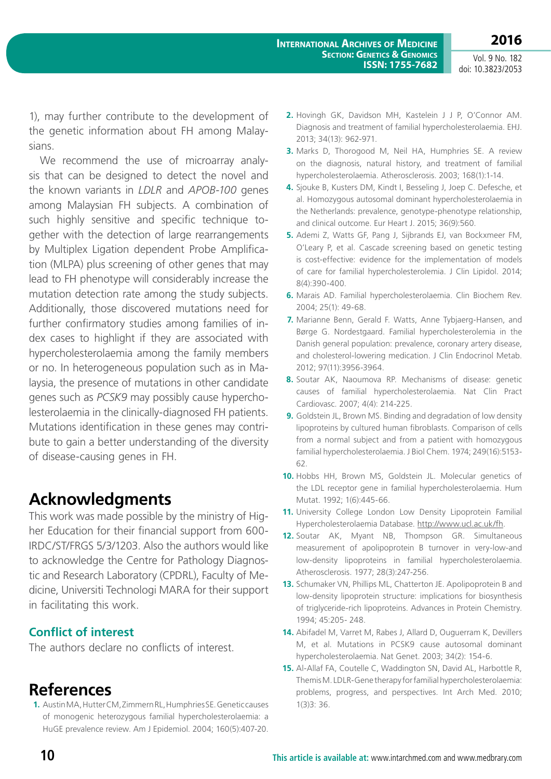1), may further contribute to the development of the genetic information about FH among Malaysians.

We recommend the use of microarray analysis that can be designed to detect the novel and the known variants in *LDLR* and *APOB-100* genes among Malaysian FH subjects. A combination of such highly sensitive and specific technique together with the detection of large rearrangements by Multiplex Ligation dependent Probe Amplification (MLPA) plus screening of other genes that may lead to FH phenotype will considerably increase the mutation detection rate among the study subjects. Additionally, those discovered mutations need for further confirmatory studies among families of index cases to highlight if they are associated with hypercholesterolaemia among the family members or no. In heterogeneous population such as in Malaysia, the presence of mutations in other candidate genes such as *PCSK9* may possibly cause hypercholesterolaemia in the clinically-diagnosed FH patients. Mutations identification in these genes may contribute to gain a better understanding of the diversity of disease-causing genes in FH.

# **Acknowledgments**

This work was made possible by the ministry of Higher Education for their financial support from 600- IRDC/ST/FRGS 5/3/1203. Also the authors would like to acknowledge the Centre for Pathology Diagnostic and Research Laboratory (CPDRL), Faculty of Medicine, Universiti Technologi MARA for their support in facilitating this work.

### **Conflict of interest**

The authors declare no conflicts of interest.

## **References**

**1.** Austin MA, Hutter CM, Zimmern RL, Humphries SE. Genetic causes of monogenic heterozygous familial hypercholesterolaemia: a HuGE prevalence review. Am J Epidemiol. 2004; 160(5):407-20.

- **2.** Hovingh GK, Davidson MH, Kastelein J J P, O'Connor AM. Diagnosis and treatment of familial hypercholesterolaemia. EHJ. 2013; 34(13): 962-971.
- **3.** Marks D, Thorogood M, Neil HA, Humphries SE. A review on the diagnosis, natural history, and treatment of familial hypercholesterolaemia. Atherosclerosis. 2003; 168(1):1-14.
- **4.** Sjouke B, Kusters DM, Kindt I, Besseling J, Joep C. Defesche, et al. Homozygous autosomal dominant hypercholesterolaemia in the Netherlands: prevalence, genotype-phenotype relationship, and clinical outcome. Eur Heart J. 2015; 36(9):560.
- **5.** Ademi Z, Watts GF, Pang J, Sijbrands EJ, van Bockxmeer FM, O'Leary P, et al. Cascade screening based on genetic testing is cost-effective: evidence for the implementation of models of care for familial hypercholesterolemia. J Clin Lipidol. 2014; 8(4):390-400.
- **6.** Marais AD. Familial hypercholesterolaemia. Clin Biochem Rev. 2004; 25(1): 49-68.
- **7.** Marianne Benn, Gerald F. Watts, Anne Tybjaerg-Hansen, and Børge G. Nordestgaard. Familial hypercholesterolemia in the Danish general population: prevalence, coronary artery disease, and cholesterol-lowering medication. J Clin Endocrinol Metab. 2012; 97(11):3956-3964.
- **8.** Soutar AK, Naoumova RP. Mechanisms of disease: genetic causes of familial hypercholesterolaemia. Nat Clin Pract Cardiovasc. 2007; 4(4): 214-225.
- **9.** Goldstein JL, Brown MS. Binding and degradation of low density lipoproteins by cultured human fibroblasts. Comparison of cells from a normal subject and from a patient with homozygous familial hypercholesterolaemia. J Biol Chem. 1974; 249(16):5153- 62.
- **10.** Hobbs HH, Brown MS, Goldstein JL. Molecular genetics of the LDL receptor gene in familial hypercholesterolaemia. Hum Mutat. 1992; 1(6):445-66.
- **11.** University College London Low Density Lipoprotein Familial Hypercholesterolaemia Database. [http://www.ucl.ac.uk/fh.](http://www.ucl.ac.uk/fh)
- **12.** Soutar AK, Myant NB, Thompson GR. Simultaneous measurement of apolipoprotein B turnover in very-low-and low-density lipoproteins in familial hypercholesterolaemia. Atherosclerosis. 1977; 28(3):247-256.
- **13.** Schumaker VN, Phillips ML, Chatterton JE. Apolipoprotein B and low-density lipoprotein structure: implications for biosynthesis of triglyceride-rich lipoproteins. Advances in Protein Chemistry. 1994; 45:205- 248.
- **14.** Abifadel M, Varret M, Rabes J, Allard D, Ouguerram K, Devillers M, et al. Mutations in PCSK9 cause autosomal dominant hypercholesterolaemia. Nat Genet. 2003; 34(2): 154-6.
- **15.** Al-Allaf FA, Coutelle C, Waddington SN, David AL, Harbottle R, Themis M. LDLR-Gene therapy for familial hypercholesterolaemia: problems, progress, and perspectives. Int Arch Med. 2010; 1(3)3: 36.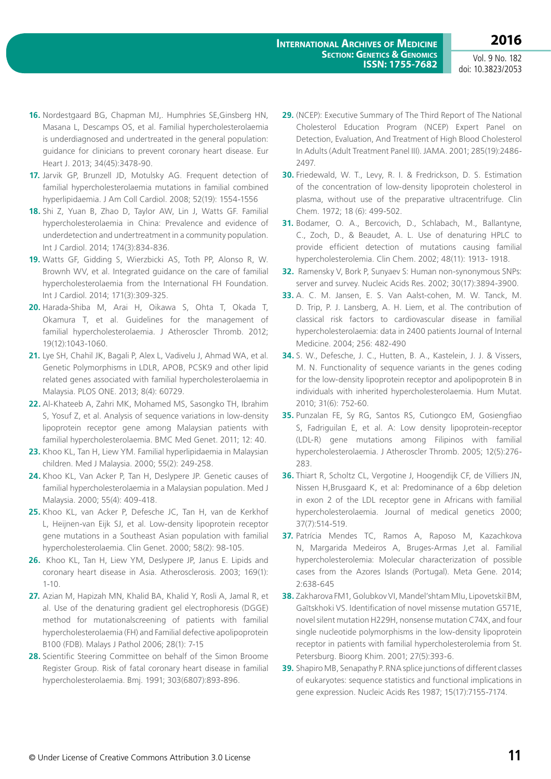- **16.** Nordestgaard BG, Chapman MJ,. Humphries SE,Ginsberg HN, Masana L, Descamps OS, et al. Familial hypercholesterolaemia is underdiagnosed and undertreated in the general population: guidance for clinicians to prevent coronary heart disease. Eur Heart J. 2013; 34(45):3478-90.
- **17.** Jarvik GP, Brunzell JD, Motulsky AG. Frequent detection of familial hypercholesterolaemia mutations in familial combined hyperlipidaemia. J Am Coll Cardiol. 2008; 52(19): 1554-1556
- **18.** Shi Z, Yuan B, Zhao D, Taylor AW, Lin J, Watts GF. Familial hypercholesterolaemia in China: Prevalence and evidence of underdetection and undertreatment in a community population. Int J Cardiol. 2014; 174(3):834-836.
- **19.** Watts GF, Gidding S, Wierzbicki AS, Toth PP, Alonso R, W. Brownh WV, et al. Integrated guidance on the care of familial hypercholesterolaemia from the International FH Foundation. Int J Cardiol. 2014; 171(3):309-325.
- **20.** Harada-Shiba M, Arai H, Oikawa S, Ohta T, Okada T, Okamura T, et al. Guidelines for the management of familial hypercholesterolaemia. J Atheroscler Thromb. 2012; 19(12):1043-1060.
- **21.** Lye SH, Chahil JK, Bagali P, Alex L, Vadivelu J, Ahmad WA, et al. Genetic Polymorphisms in LDLR, APOB, PCSK9 and other lipid related genes associated with familial hypercholesterolaemia in Malaysia. PLOS ONE. 2013; 8(4): 60729.
- **22.** Al-Khateeb A, Zahri MK, Mohamed MS, Sasongko TH, Ibrahim S, Yosuf Z, et al. Analysis of sequence variations in low-density lipoprotein receptor gene among Malaysian patients with familial hypercholesterolaemia. BMC Med Genet. 2011; 12: 40.
- **23.** Khoo KL, Tan H, Liew YM. Familial hyperlipidaemia in Malaysian children. Med J Malaysia. 2000; 55(2): 249-258.
- **24.** Khoo KL, Van Acker P, Tan H, Deslypere JP. Genetic causes of familial hypercholesterolaemia in a Malaysian population. Med J Malaysia. 2000; 55(4): 409-418.
- **25.** Khoo KL, van Acker P, Defesche JC, Tan H, van de Kerkhof L, Heijnen-van Eijk SJ, et al. Low-density lipoprotein receptor gene mutations in a Southeast Asian population with familial hypercholesterolaemia. Clin Genet. 2000; 58(2): 98-105.
- **26.** Khoo KL, Tan H, Liew YM, Deslypere JP, Janus E. Lipids and coronary heart disease in Asia. Atherosclerosis. 2003; 169(1): 1-10.
- **27.** Azian M, Hapizah MN, Khalid BA, Khalid Y, Rosli A, Jamal R, et al. Use of the denaturing gradient gel electrophoresis (DGGE) method for mutationalscreening of patients with familial hypercholesterolaemia (FH) and Familial defective apolipoprotein B100 (FDB). Malays J Pathol 2006; 28(1): 7-15
- **28.** Scientific Steering Committee on behalf of the Simon Broome Register Group. Risk of fatal coronary heart disease in familial hypercholesterolaemia. Bmj. 1991; 303(6807):893-896.
- **29.** (NCEP): Executive Summary of The Third Report of The National Cholesterol Education Program (NCEP) Expert Panel on Detection, Evaluation, And Treatment of High Blood Cholesterol In Adults (Adult Treatment Panel III). JAMA. 2001; 285(19):2486- 2497.
- **30.** Friedewald, W. T., Levy, R. I. & Fredrickson, D. S. Estimation of the concentration of low-density lipoprotein cholesterol in plasma, without use of the preparative ultracentrifuge. Clin Chem. 1972; 18 (6): 499-502.
- **31.** Bodamer, O. A., Bercovich, D., Schlabach, M., Ballantyne, C., Zoch, D., & Beaudet, A. L. Use of denaturing HPLC to provide efficient detection of mutations causing familial hypercholesterolemia. Clin Chem. 2002; 48(11): 1913- 1918.
- **32.** Ramensky V, Bork P, Sunyaev S: Human non-synonymous SNPs: server and survey. Nucleic Acids Res. 2002; 30(17):3894-3900.
- **33.** A. C. M. Jansen, E. S. Van Aalst-cohen, M. W. Tanck, M. D. Trip, P. J. Lansberg, A. H. Liem, et al. The contribution of classical risk factors to cardiovascular disease in familial hypercholesterolaemia: data in 2400 patients Journal of Internal Medicine. 2004; 256: 482-490
- **34.** S. W., Defesche, J. C., Hutten, B. A., Kastelein, J. J. & Vissers, M. N. Functionality of sequence variants in the genes coding for the low-density lipoprotein receptor and apolipoprotein B in individuals with inherited hypercholesterolaemia. Hum Mutat. 2010; 31(6): 752-60.
- **35.** Punzalan FE, Sy RG, Santos RS, Cutiongco EM, Gosiengfiao S, Fadriguilan E, et al. A: Low density lipoprotein-receptor (LDL-R) gene mutations among Filipinos with familial hypercholesterolaemia. J Atheroscler Thromb. 2005; 12(5):276- 283.
- **36.** Thiart R, Scholtz CL, Vergotine J, Hoogendijk CF, de Villiers JN, Nissen H,Brusgaard K, et al: Predominance of a 6bp deletion in exon 2 of the LDL receptor gene in Africans with familial hypercholesterolaemia. Journal of medical genetics 2000; 37(7):514-519.
- **37.** Patrícia Mendes TC, Ramos A, Raposo M, Kazachkova N, Margarida Medeiros A, Bruges-Armas J,et al. Familial hypercholesterolemia: Molecular characterization of possible cases from the Azores Islands (Portugal). Meta Gene. 2014; 2:638-645
- **38.** Zakharova FM1, Golubkov VI, Mandel'shtam MIu, Lipovetskiĭ BM, Gaĭtskhoki VS. Identification of novel missense mutation G571E, novel silent mutation H229H, nonsense mutation C74X, and four single nucleotide polymorphisms in the low-density lipoprotein receptor in patients with familial hypercholesterolemia from St. Petersburg. Bioorg Khim. 2001; 27(5):393-6.
- **39.** Shapiro MB, Senapathy P. RNA splice junctions of different classes of eukaryotes: sequence statistics and functional implications in gene expression. Nucleic Acids Res 1987; 15(17):7155-7174.